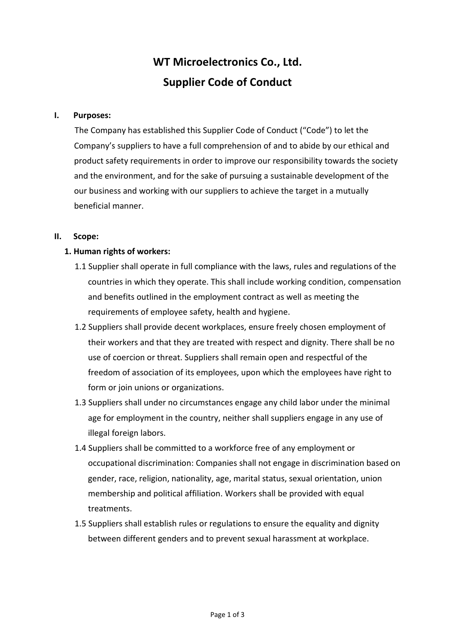# WT Microelectronics Co., Ltd. Supplier Code of Conduct

## I. Purposes:

The Company has established this Supplier Code of Conduct ("Code") to let the Company's suppliers to have a full comprehension of and to abide by our ethical and product safety requirements in order to improve our responsibility towards the society and the environment, and for the sake of pursuing a sustainable development of the our business and working with our suppliers to achieve the target in a mutually beneficial manner.

## II. Scope:

# 1. Human rights of workers:

- 1.1 Supplier shall operate in full compliance with the laws, rules and regulations of the countries in which they operate. This shall include working condition, compensation and benefits outlined in the employment contract as well as meeting the requirements of employee safety, health and hygiene.
- 1.2 Suppliers shall provide decent workplaces, ensure freely chosen employment of their workers and that they are treated with respect and dignity. There shall be no use of coercion or threat. Suppliers shall remain open and respectful of the freedom of association of its employees, upon which the employees have right to form or join unions or organizations.
- 1.3 Suppliers shall under no circumstances engage any child labor under the minimal age for employment in the country, neither shall suppliers engage in any use of illegal foreign labors.
- 1.4 Suppliers shall be committed to a workforce free of any employment or occupational discrimination: Companies shall not engage in discrimination based on gender, race, religion, nationality, age, marital status, sexual orientation, union membership and political affiliation. Workers shall be provided with equal treatments.
- 1.5 Suppliers shall establish rules or regulations to ensure the equality and dignity between different genders and to prevent sexual harassment at workplace.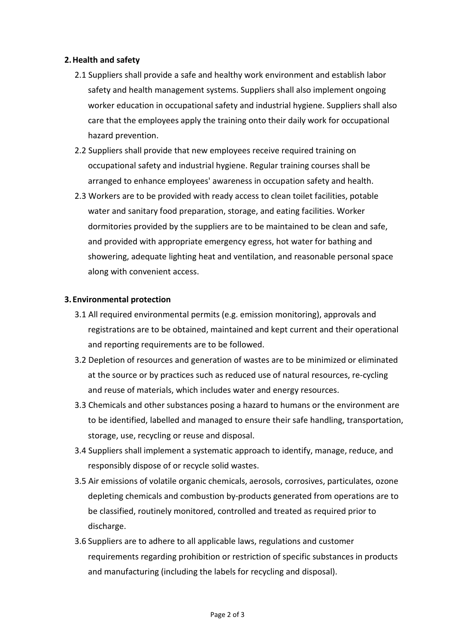## 2.Health and safety

- 2.1 Suppliers shall provide a safe and healthy work environment and establish labor safety and health management systems. Suppliers shall also implement ongoing worker education in occupational safety and industrial hygiene. Suppliers shall also care that the employees apply the training onto their daily work for occupational hazard prevention.
- 2.2 Suppliers shall provide that new employees receive required training on occupational safety and industrial hygiene. Regular training courses shall be arranged to enhance employees' awareness in occupation safety and health.
- 2.3 Workers are to be provided with ready access to clean toilet facilities, potable water and sanitary food preparation, storage, and eating facilities. Worker dormitories provided by the suppliers are to be maintained to be clean and safe, and provided with appropriate emergency egress, hot water for bathing and showering, adequate lighting heat and ventilation, and reasonable personal space along with convenient access.

## 3.Environmental protection

- 3.1 All required environmental permits (e.g. emission monitoring), approvals and registrations are to be obtained, maintained and kept current and their operational and reporting requirements are to be followed.
- 3.2 Depletion of resources and generation of wastes are to be minimized or eliminated at the source or by practices such as reduced use of natural resources, re-cycling and reuse of materials, which includes water and energy resources.
- 3.3 Chemicals and other substances posing a hazard to humans or the environment are to be identified, labelled and managed to ensure their safe handling, transportation, storage, use, recycling or reuse and disposal.
- 3.4 Suppliers shall implement a systematic approach to identify, manage, reduce, and responsibly dispose of or recycle solid wastes.
- 3.5 Air emissions of volatile organic chemicals, aerosols, corrosives, particulates, ozone depleting chemicals and combustion by-products generated from operations are to be classified, routinely monitored, controlled and treated as required prior to discharge.
- 3.6 Suppliers are to adhere to all applicable laws, regulations and customer requirements regarding prohibition or restriction of specific substances in products and manufacturing (including the labels for recycling and disposal).